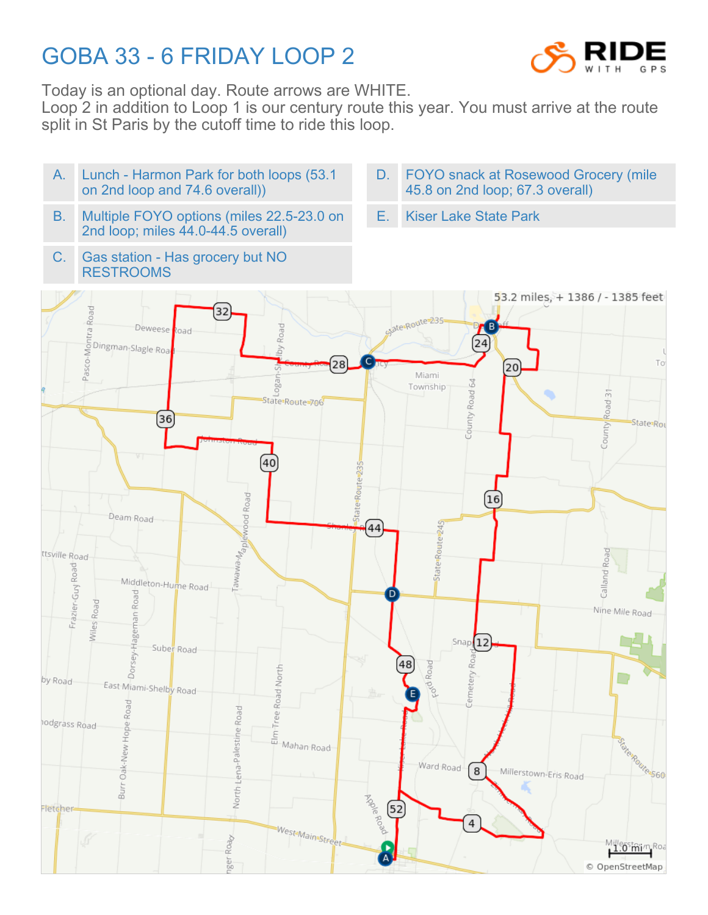## GOBA 33 - 6 FRIDAY LOOP 2



Today is an optional day. Route arrows are WHITE.

Loop 2 in addition to Loop 1 is our century route this year. You must arrive at the route split in St Paris by the cutoff time to ride this loop.